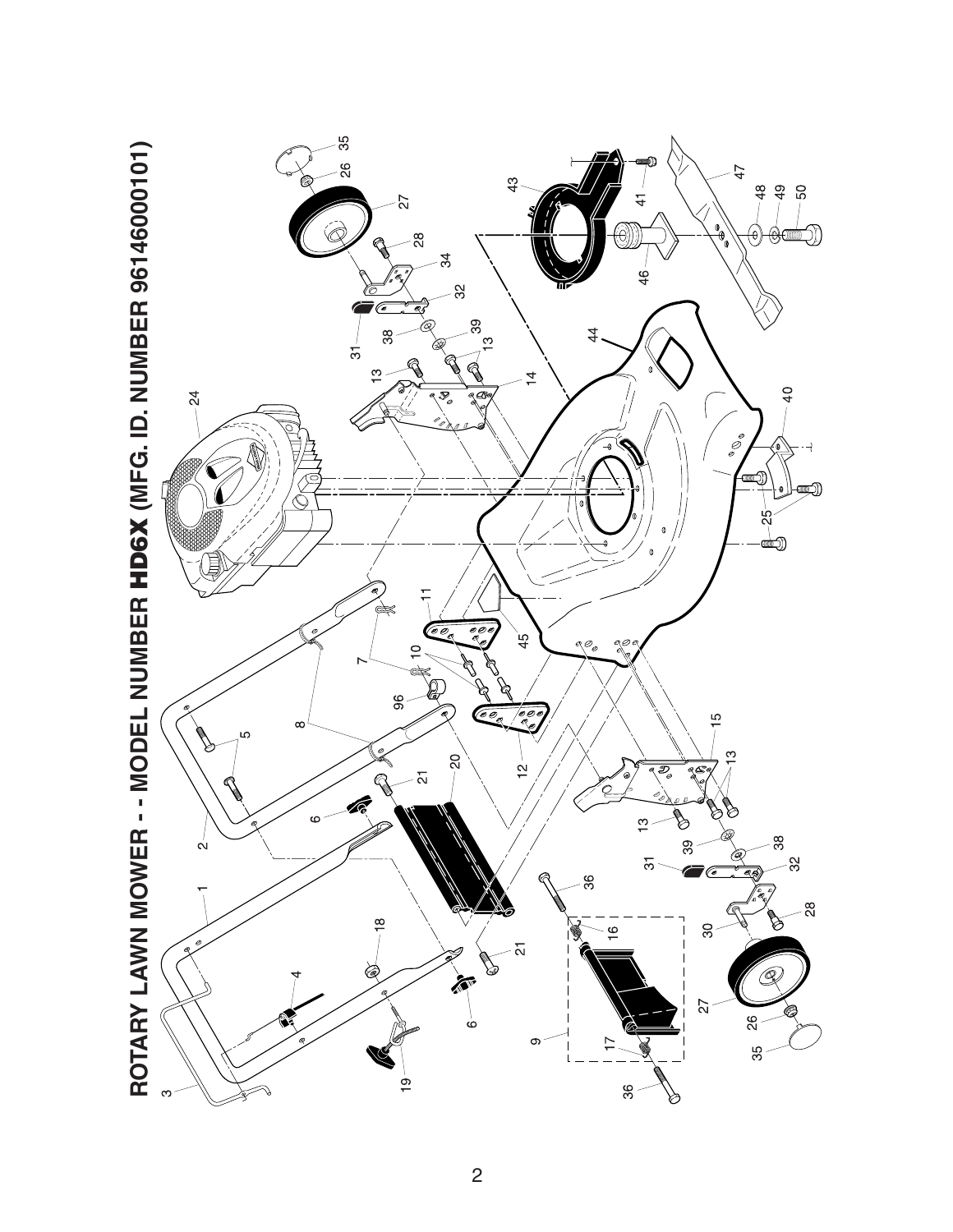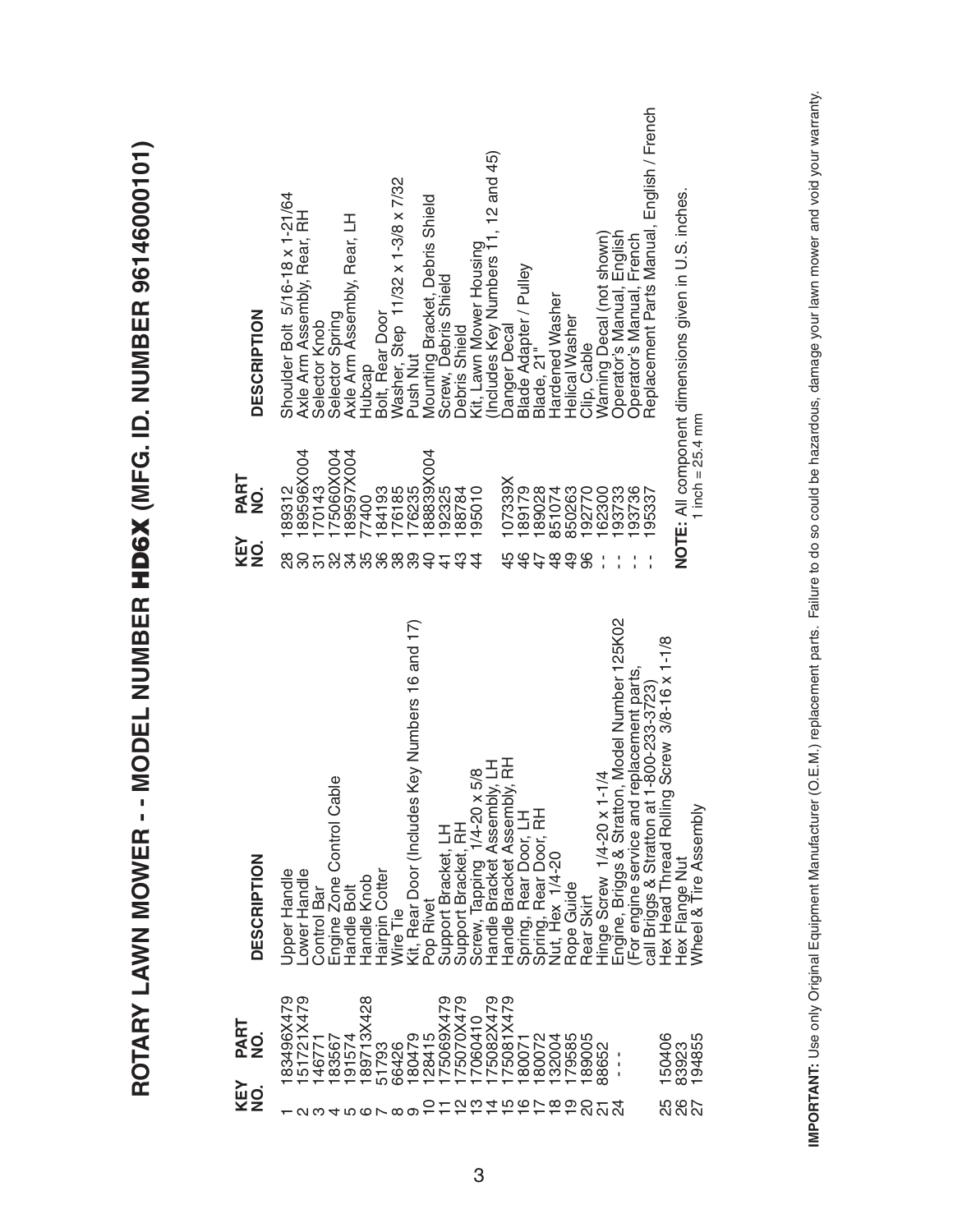| Kit, Rear Door (Includes Key Numbers 16 and 17)<br>Hex Head Thread Rolling Screw 3/8-16 x 1-1/8<br>call Briggs & Stratton at 1-800-233-3723<br>Handle Bracket Assembly, LH<br>Handle Bracket Assembly, RH<br>Screw, Tapping 1/4-20 x 5/8<br>$1 - 1/4$<br>able<br>Engine Zone Control C<br>Spring, Rear Door, RH<br>Spring, Rear Door, LH<br>Hinge Screw 1/4-20 x<br>Support Bracket, RH<br>Support Bracket, LH<br>Nut, Hex 1/4-20<br>Jpper Handle<br>-ower Handle<br>Hairpin Cotter<br>Handle Knob<br>Rope Guide<br>Control Bar<br>Handle Bolt<br>Rear Skirt<br>Pop Rivet<br>Wire Tie<br>I51721X479<br>83496X479<br>189713X428<br>175070X479<br>175082X479<br>175081X479<br>175069X479<br>17060410<br>128415<br>132004<br>183567<br>191574<br>80072<br>79585<br>189005<br>150406<br>180479<br>146771<br>180071<br>51793<br>66426<br>88652<br>л<br>J.<br>$0.0400$ $0.000$<br>SO<br>$\overline{\phantom{0}}$<br>$\mathcal{Z}$<br>$\overline{\Omega}$<br>ᅮ ~ ~ ~ ~ ~ ~ ~ ~ ~ | PART<br>o<br>Z | <b>DESCRIPTION</b>                             | KEY<br>NO.     | PART<br>NO.                  | <b>DESCRIPTION</b>                                   |
|---------------------------------------------------------------------------------------------------------------------------------------------------------------------------------------------------------------------------------------------------------------------------------------------------------------------------------------------------------------------------------------------------------------------------------------------------------------------------------------------------------------------------------------------------------------------------------------------------------------------------------------------------------------------------------------------------------------------------------------------------------------------------------------------------------------------------------------------------------------------------------------------------------------------------------------------------------------------------|----------------|------------------------------------------------|----------------|------------------------------|------------------------------------------------------|
|                                                                                                                                                                                                                                                                                                                                                                                                                                                                                                                                                                                                                                                                                                                                                                                                                                                                                                                                                                           |                |                                                | 88             | 89312                        | Shoulder Bolt 5/16-18 x 1-21/64                      |
|                                                                                                                                                                                                                                                                                                                                                                                                                                                                                                                                                                                                                                                                                                                                                                                                                                                                                                                                                                           |                |                                                | 252            | 89596X004                    | Axle Arm Assembly, Rear, RH                          |
|                                                                                                                                                                                                                                                                                                                                                                                                                                                                                                                                                                                                                                                                                                                                                                                                                                                                                                                                                                           |                |                                                |                | 70143                        | Selector Knob                                        |
|                                                                                                                                                                                                                                                                                                                                                                                                                                                                                                                                                                                                                                                                                                                                                                                                                                                                                                                                                                           |                |                                                |                | 75060X004                    | Selector Spring                                      |
|                                                                                                                                                                                                                                                                                                                                                                                                                                                                                                                                                                                                                                                                                                                                                                                                                                                                                                                                                                           |                |                                                | 358            | 89597X004                    | Axle Arm Assembly, Rear, LH                          |
|                                                                                                                                                                                                                                                                                                                                                                                                                                                                                                                                                                                                                                                                                                                                                                                                                                                                                                                                                                           |                |                                                |                | 84193<br>7400                | Hubcap                                               |
|                                                                                                                                                                                                                                                                                                                                                                                                                                                                                                                                                                                                                                                                                                                                                                                                                                                                                                                                                                           |                |                                                | 38             | 76185                        | Bolt, Rear Door                                      |
|                                                                                                                                                                                                                                                                                                                                                                                                                                                                                                                                                                                                                                                                                                                                                                                                                                                                                                                                                                           |                |                                                | 89             | 176235                       | Washer, Step 11/32 x 1-3/8 x 7/32<br>Push Nut        |
|                                                                                                                                                                                                                                                                                                                                                                                                                                                                                                                                                                                                                                                                                                                                                                                                                                                                                                                                                                           |                |                                                | 9              | 88839X004                    | Mounting Bracket, Debris Shield                      |
|                                                                                                                                                                                                                                                                                                                                                                                                                                                                                                                                                                                                                                                                                                                                                                                                                                                                                                                                                                           |                |                                                | $\frac{4}{4}$  | 92325                        | Screw, Debris Shield                                 |
|                                                                                                                                                                                                                                                                                                                                                                                                                                                                                                                                                                                                                                                                                                                                                                                                                                                                                                                                                                           |                |                                                | 43             | 88784                        | Debris Shield                                        |
|                                                                                                                                                                                                                                                                                                                                                                                                                                                                                                                                                                                                                                                                                                                                                                                                                                                                                                                                                                           |                |                                                | 4              | 95010                        | Kit, Lawn Mower Housing                              |
|                                                                                                                                                                                                                                                                                                                                                                                                                                                                                                                                                                                                                                                                                                                                                                                                                                                                                                                                                                           |                |                                                |                |                              | (Includes Key Numbers 11, 12 and 45)                 |
|                                                                                                                                                                                                                                                                                                                                                                                                                                                                                                                                                                                                                                                                                                                                                                                                                                                                                                                                                                           |                |                                                | 45             | 107339X                      | Danger Decal                                         |
|                                                                                                                                                                                                                                                                                                                                                                                                                                                                                                                                                                                                                                                                                                                                                                                                                                                                                                                                                                           |                |                                                | $\frac{6}{5}$  |                              | Blade Adapter / Pulley                               |
|                                                                                                                                                                                                                                                                                                                                                                                                                                                                                                                                                                                                                                                                                                                                                                                                                                                                                                                                                                           |                |                                                | 47             | 189179<br>189028             | Blade, 21"                                           |
|                                                                                                                                                                                                                                                                                                                                                                                                                                                                                                                                                                                                                                                                                                                                                                                                                                                                                                                                                                           |                |                                                | $\frac{8}{3}$  | 851074                       | Hardened Washer                                      |
|                                                                                                                                                                                                                                                                                                                                                                                                                                                                                                                                                                                                                                                                                                                                                                                                                                                                                                                                                                           |                |                                                | $\overline{6}$ | 850263                       | Helical Washer                                       |
|                                                                                                                                                                                                                                                                                                                                                                                                                                                                                                                                                                                                                                                                                                                                                                                                                                                                                                                                                                           |                |                                                | 96             | 192770                       | Clip, Cable                                          |
|                                                                                                                                                                                                                                                                                                                                                                                                                                                                                                                                                                                                                                                                                                                                                                                                                                                                                                                                                                           |                |                                                |                | 162300                       | Warning Decal (not shown)                            |
|                                                                                                                                                                                                                                                                                                                                                                                                                                                                                                                                                                                                                                                                                                                                                                                                                                                                                                                                                                           |                | Engine, Briggs & Stratton, Model Number 125K02 |                | 193733                       | Operator's Manual, English                           |
|                                                                                                                                                                                                                                                                                                                                                                                                                                                                                                                                                                                                                                                                                                                                                                                                                                                                                                                                                                           |                | For engine service and replacement parts,      |                | 93736                        | Operator's Manual, French                            |
|                                                                                                                                                                                                                                                                                                                                                                                                                                                                                                                                                                                                                                                                                                                                                                                                                                                                                                                                                                           |                |                                                |                | 95337                        | Replacement Parts Manual, English / French           |
|                                                                                                                                                                                                                                                                                                                                                                                                                                                                                                                                                                                                                                                                                                                                                                                                                                                                                                                                                                           |                |                                                |                |                              |                                                      |
| Hex Flange Nut<br>Wheel & Tire Assembly<br>194855<br>83923<br>5<br>2002<br>20                                                                                                                                                                                                                                                                                                                                                                                                                                                                                                                                                                                                                                                                                                                                                                                                                                                                                             |                |                                                |                | 1 inch = $25.4 \, \text{mm}$ | NOTE: All component dimensions given in U.S. inches. |
|                                                                                                                                                                                                                                                                                                                                                                                                                                                                                                                                                                                                                                                                                                                                                                                                                                                                                                                                                                           |                |                                                |                |                              |                                                      |

**ROTARY LAWN MOWER - - MODEL NUMBER HD6X (MFG. ID. NUMBER 96146000101)**

ROTARY LAWN MOWER - - MODEL NUMBER HD6X (MFG. ID. NUMBER 96146000101)

IMPORTANT: Use only Original Equipment Manufacturer (O.E.M.) replacement parts. Failure to do so could be hazardous, damage your lawn mower and void your warranty. **IMPORTANT:** Use only Original Equipment Manufacturer (O.E.M.) replacement parts. Failure to do so could be hazardous, damage your lawn mower and void your warranty.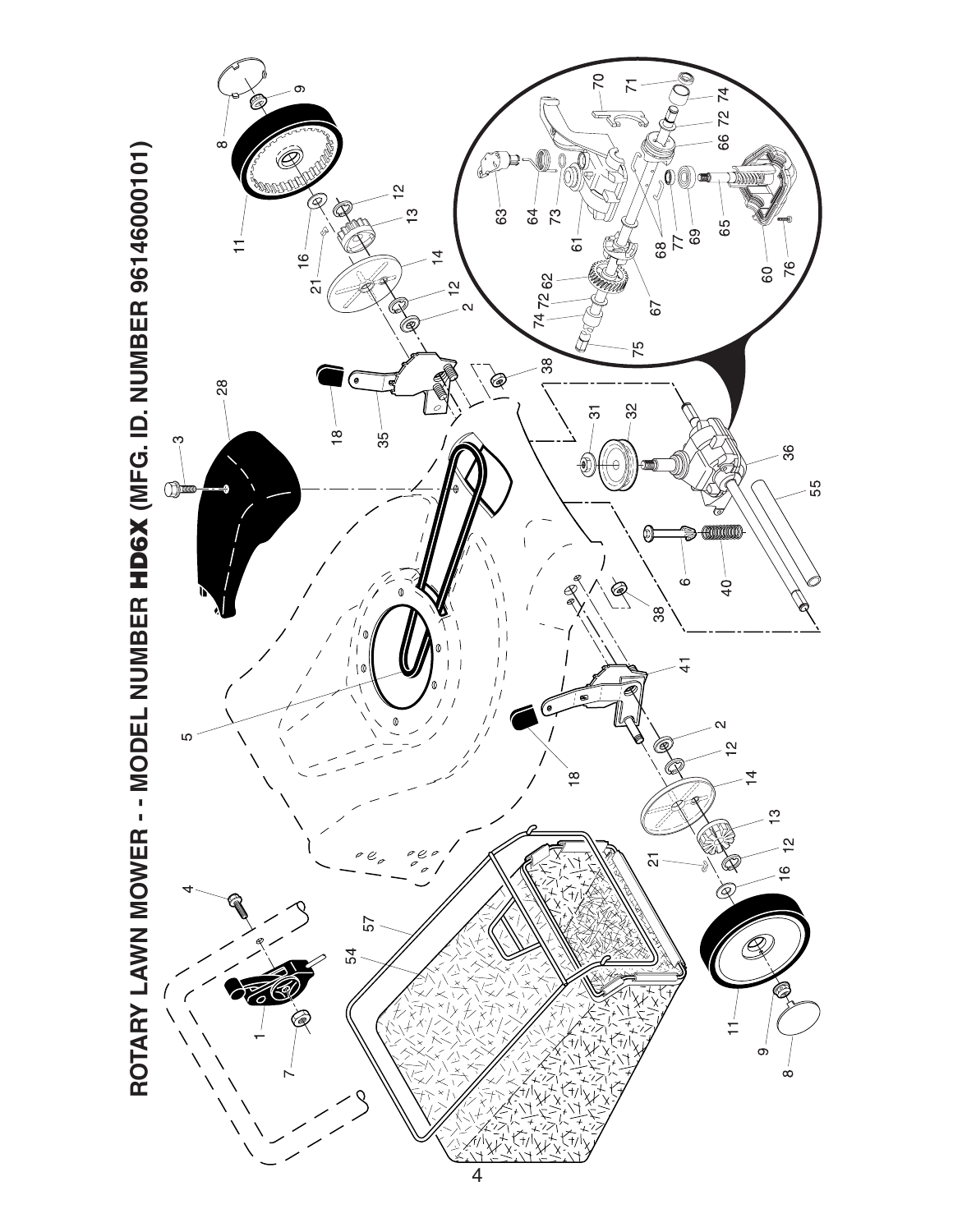